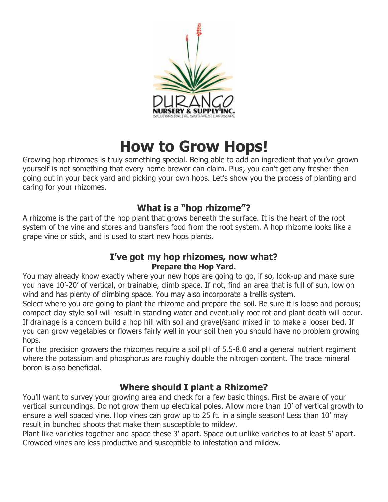

# **How to Grow Hops!**

Growing hop rhizomes is truly something special. Being able to add an ingredient that you've grown yourself is not something that every home brewer can claim. Plus, you can't get any fresher then going out in your back yard and picking your own hops. Let's show you the process of planting and caring for your rhizomes.

# **What is a "hop rhizome"?**

A rhizome is the part of the hop plant that grows beneath the surface. It is the heart of the root system of the vine and stores and transfers food from the root system. A hop rhizome looks like a grape vine or stick, and is used to start new hops plants.

#### **I've got my hop rhizomes, now what? Prepare the Hop Yard.**

You may already know exactly where your new hops are going to go, if so, look-up and make sure you have 10'-20' of vertical, or trainable, climb space. If not, find an area that is full of sun, low on wind and has plenty of climbing space. You may also incorporate a trellis system.

Select where you are going to plant the rhizome and prepare the soil. Be sure it is loose and porous; compact clay style soil will result in standing water and eventually root rot and plant death will occur. If drainage is a concern build a hop hill with soil and gravel/sand mixed in to make a looser bed. If you can grow vegetables or flowers fairly well in your soil then you should have no problem growing hops.

For the precision growers the rhizomes require a soil pH of 5.5-8.0 and a general nutrient regiment where the potassium and phosphorus are roughly double the nitrogen content. The trace mineral boron is also beneficial.

# **Where should I plant a Rhizome?**

You'll want to survey your growing area and check for a few basic things. First be aware of your vertical surroundings. Do not grow them up electrical poles. Allow more than 10' of vertical growth to ensure a well spaced vine. Hop vines can grow up to 25 ft. in a single season! Less than 10' may result in bunched shoots that make them susceptible to mildew.

Plant like varieties together and space these 3' apart. Space out unlike varieties to at least 5' apart. Crowded vines are less productive and susceptible to infestation and mildew.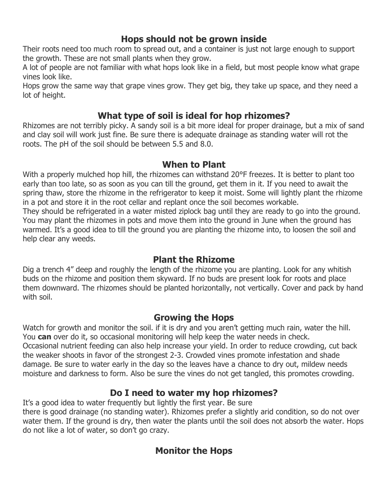## **Hops should not be grown inside**

Their roots need too much room to spread out, and a container is just not large enough to support the growth. These are not small plants when they grow.

A lot of people are not familiar with what hops look like in a field, but most people know what grape vines look like.

Hops grow the same way that grape vines grow. They get big, they take up space, and they need a lot of height.

## **What type of soil is ideal for hop rhizomes?**

Rhizomes are not terribly picky. A sandy soil is a bit more ideal for proper drainage, but a mix of sand and clay soil will work just fine. Be sure there is adequate drainage as standing water will rot the roots. The pH of the soil should be between 5.5 and 8.0.

#### **When to Plant**

With a properly mulched hop hill, the rhizomes can withstand 20°F freezes. It is better to plant too early than too late, so as soon as you can till the ground, get them in it. If you need to await the spring thaw, store the rhizome in the refrigerator to keep it moist. Some will lightly plant the rhizome in a pot and store it in the root cellar and replant once the soil becomes workable. They should be refrigerated in a water misted ziplock bag until they are ready to go into the ground. You may plant the rhizomes in pots and move them into the ground in June when the ground has warmed. It's a good idea to till the ground you are planting the rhizome into, to loosen the soil and help clear any weeds.

## **Plant the Rhizome**

Dig a trench 4" deep and roughly the length of the rhizome you are planting. Look for any whitish buds on the rhizome and position them skyward. If no buds are present look for roots and place them downward. The rhizomes should be planted horizontally, not vertically. Cover and pack by hand with soil.

## **Growing the Hops**

Watch for growth and monitor the soil. if it is dry and you aren't getting much rain, water the hill. You **can** over do it, so occasional monitoring will help keep the water needs in check. Occasional nutrient feeding can also help increase your yield. In order to reduce crowding, cut back the weaker shoots in favor of the strongest 2-3. Crowded vines promote infestation and shade damage. Be sure to water early in the day so the leaves have a chance to dry out, mildew needs moisture and darkness to form. Also be sure the vines do not get tangled, this promotes crowding.

# **Do I need to water my hop rhizomes?**

It's a good idea to water frequently but lightly the first year. Be sure there is good drainage (no standing water). Rhizomes prefer a slightly arid condition, so do not over water them. If the ground is dry, then water the plants until the soil does not absorb the water. Hops do not like a lot of water, so don't go crazy.

# **Monitor the Hops**